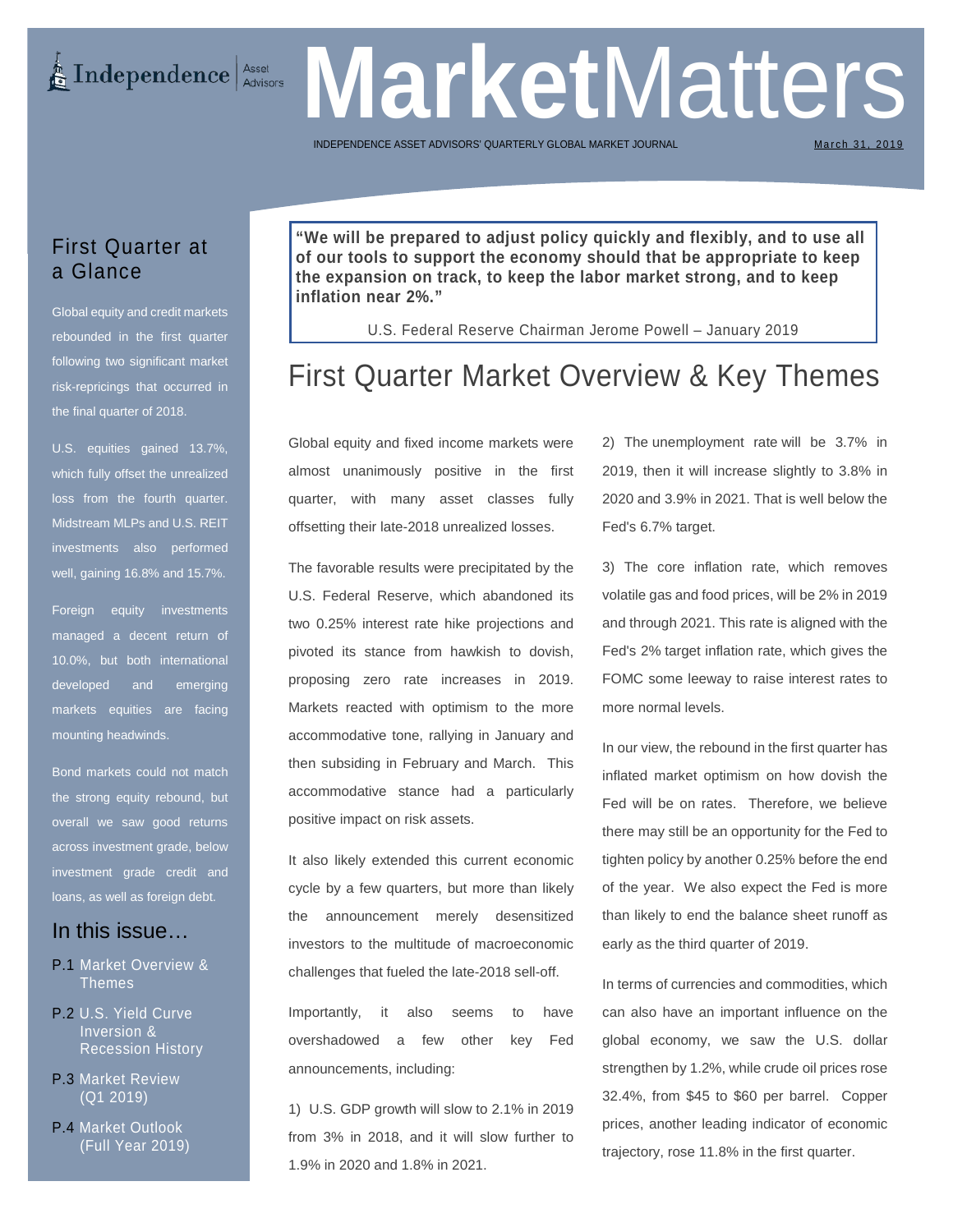# Independence Asset

**Market** Matters INDEPENDENCE ASSET ADVISORS' QUARTERLY GLOBAL MARKET

March 31, 2019

## First Quarter at a Glance

Global equity and credit markets rebounded in the first quarter following two significant market risk-repricings that occurred in the final quarter of 2018.

U.S. equities gained 13.7%, which fully offset the unrealized loss from the fourth quarter. Midstream MLPs and U.S. REIT investments also performed well, gaining 16.8% and 15.7%.

Foreign equity investments managed a decent return of 10.0%, but both international developed and emerging markets equities are facing mounting headwinds.

Bond markets could not match the strong equity rebound, but overall we saw good returns across investment grade, below investment grade credit and loans, as well as foreign debt.

### In this issue…

- P.1 Market Overview & Themes
- P.2 U.S. Yield Curve Inversion & Recession History
- P.3 Market Review (Q1 2019)
- P.4 Market Outlook (Full Year 2019)

**"We will be prepared to adjust policy quickly and flexibly, and to use all of our tools to support the economy should that be appropriate to keep the expansion on track, to keep the labor market strong, and to keep inflation near 2%."** 

U.S. Federal Reserve Chairman Jerome Powell – January 2019

## First Quarter Market Overview & Key Themes

Global equity and fixed income markets were almost unanimously positive in the first quarter, with many asset classes fully offsetting their late-2018 unrealized losses.

The favorable results were precipitated by the U.S. Federal Reserve, which abandoned its two 0.25% interest rate hike projections and pivoted its stance from hawkish to dovish, proposing zero rate increases in 2019. Markets reacted with optimism to the more accommodative tone, rallying in January and then subsiding in February and March. This accommodative stance had a particularly positive impact on risk assets.

It also likely extended this current economic cycle by a few quarters, but more than likely the announcement merely desensitized investors to the multitude of macroeconomic challenges that fueled the late-2018 sell-off.

Importantly, it also seems to have overshadowed a few other key Fed announcements, including:

[1\) U.S. GDP growth](https://www.thebalance.com/u-s-gdp-growth-3306008) will slow to 2.1% in 2019 from 3% in 2018, and it will slow further to 1.9% in 2020 and 1.8% in 2021.

2) The [unemployment rate](https://www.thebalance.com/unemployment-rate-3305744) will be 3.7% in 2019, then it will increase slightly to 3.8% in 2020 and 3.9% in 2021. That is well below the Fed's 6.7% target.

3) The core inflation rate, which removes volatile gas and food prices, will be 2% in 2019 and through 2021. This rate is aligned with the Fed's 2% [target inflation rate,](https://www.thebalance.com/inflation-targeting-definition-how-it-works-3305854) which gives the FOMC some leeway to raise interest rates to more normal levels.

In our view, the rebound in the first quarter has inflated market optimism on how dovish the Fed will be on rates. Therefore, we believe there may still be an opportunity for the Fed to tighten policy by another 0.25% before the end of the year. We also expect the Fed is more than likely to end the balance sheet runoff as early as the third quarter of 2019.

In terms of currencies and commodities, which can also have an important influence on the global economy, we saw the U.S. dollar strengthen by 1.2%, while crude oil prices rose 32.4%, from \$45 to \$60 per barrel. Copper prices, another leading indicator of economic trajectory, rose 11.8% in the first quarter.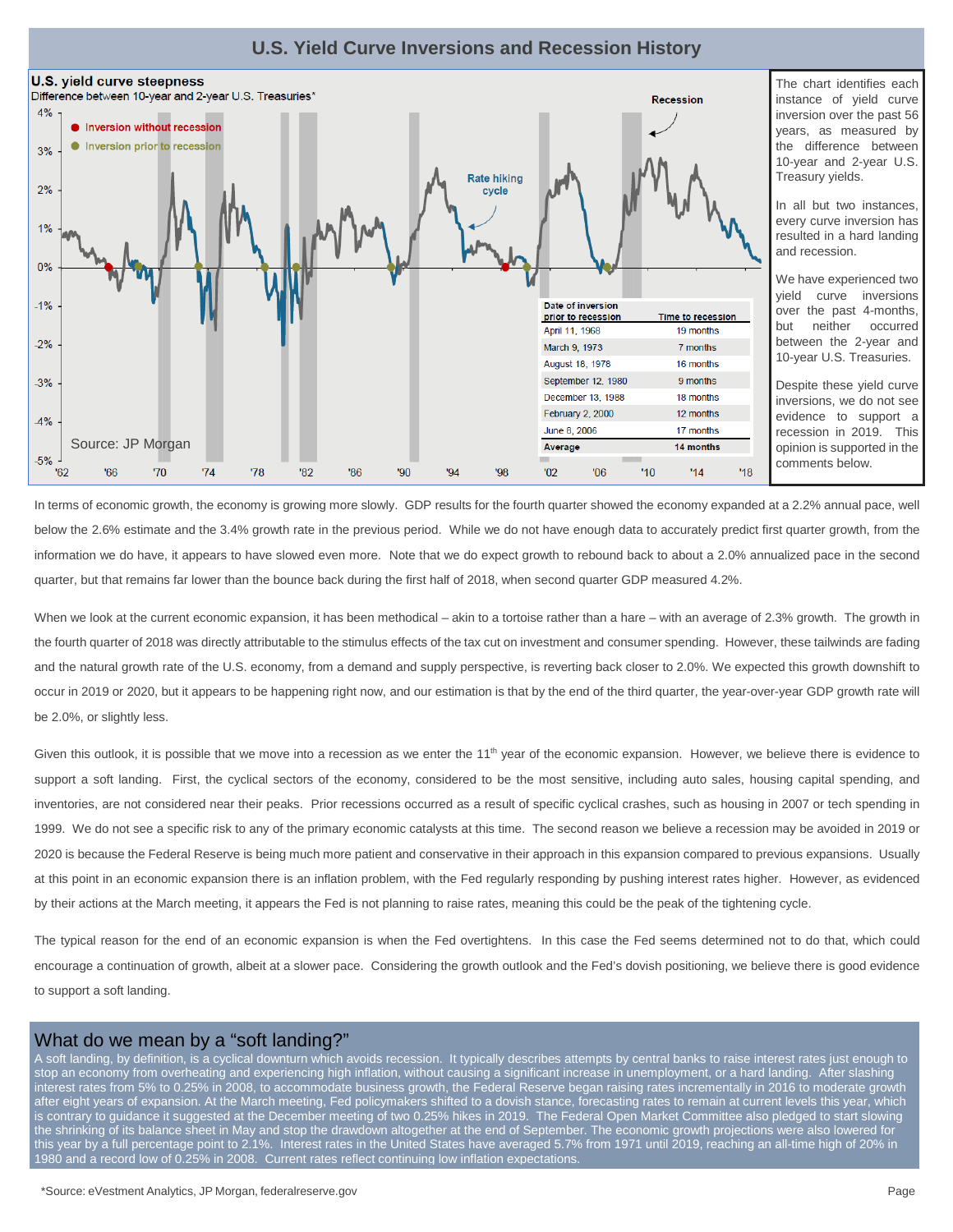



The chart identifies each instance of yield curve inversion over the past 56 years, as measured by the difference between 10-year and 2-year U.S. Treasury yields.

In all but two instances, every curve inversion has resulted in a hard landing and recession.

We have experienced two yield curve inversions over the past 4-months, but neither occurred between the 2-year and 10-year U.S. Treasuries.

Despite these yield curve inversions, we do not see evidence to support a recession in 2019. This opinion is supported in the comments below.

In terms of economic growth, the economy is growing more slowly. GDP results for the fourth quarter showed the economy expanded at a 2.2% annual pace, well below the 2.6% estimate and the 3.4% growth rate in the previous period. While we do not have enough data to accurately predict first quarter growth, from the information we do have, it appears to have slowed even more. Note that we do expect growth to rebound back to about a 2.0% annualized pace in the second quarter, but that remains far lower than the bounce back during the first half of 2018, when second quarter GDP measured 4.2%.

When we look at the current economic expansion, it has been methodical – akin to a tortoise rather than a hare – with an average of 2.3% growth. The growth in the fourth quarter of 2018 was directly attributable to the stimulus effects of the tax cut on investment and consumer spending. However, these tailwinds are fading and the natural growth rate of the U.S. economy, from a demand and supply perspective, is reverting back closer to 2.0%. We expected this growth downshift to occur in 2019 or 2020, but it appears to be happening right now, and our estimation is that by the end of the third quarter, the year-over-year GDP growth rate will be 2.0%, or slightly less.

Given this outlook, it is possible that we move into a recession as we enter the 11<sup>th</sup> year of the economic expansion. However, we believe there is evidence to support a soft landing. First, the cyclical sectors of the economy, considered to be the most sensitive, including auto sales, housing capital spending, and inventories, are not considered near their peaks. Prior recessions occurred as a result of specific cyclical crashes, such as housing in 2007 or tech spending in 1999. We do not see a specific risk to any of the primary economic catalysts at this time. The second reason we believe a recession may be avoided in 2019 or 2020 is because the Federal Reserve is being much more patient and conservative in their approach in this expansion compared to previous expansions. Usually at this point in an economic expansion there is an inflation problem, with the Fed regularly responding by pushing interest rates higher. However, as evidenced by their actions at the March meeting, it appears the Fed is not planning to raise rates, meaning this could be the peak of the tightening cycle.

The typical reason for the end of an economic expansion is when the Fed overtightens. In this case the Fed seems determined not to do that, which could encourage a continuation of growth, albeit at a slower pace. Considering the growth outlook and the Fed's dovish positioning, we believe there is good evidence to support a soft landing.

#### What do we mean by a "soft landing?"

A soft landing, by definition, is a cyclical downturn which avoids recession. It typically describes attempts by central banks to raise interest rates just enough to stop an economy from overheating and experiencing high inflation, without causing a significant increase in unemployment, or a hard landing. After slashing interest rates from 5% to 0.25% in 2008, to accommodate business growth, the Federal Reserve began raising rates incrementally in 2016 to moderate growth after eight years of expansion. At the March meeting, Fed policymakers shifted to a dovish stance, forecasting rates to remain at current levels this year, which is contrary to guidance it suggested at the December meeting of two 0.25% hikes in 2019. The Federal Open Market Committee also pledged to start slowing the shrinking of its balance sheet in May and stop the drawdown altogether at the end of September. The economic growth projections were also lowered for this year by a full percentage point to 2.1%. Interest rates in the United States have averaged 5.7% from 1971 until 2019, reaching an all-time high of 20% in 1980 and a record low of 0.25% in 2008. Current rates reflect continuing low inflation expectations.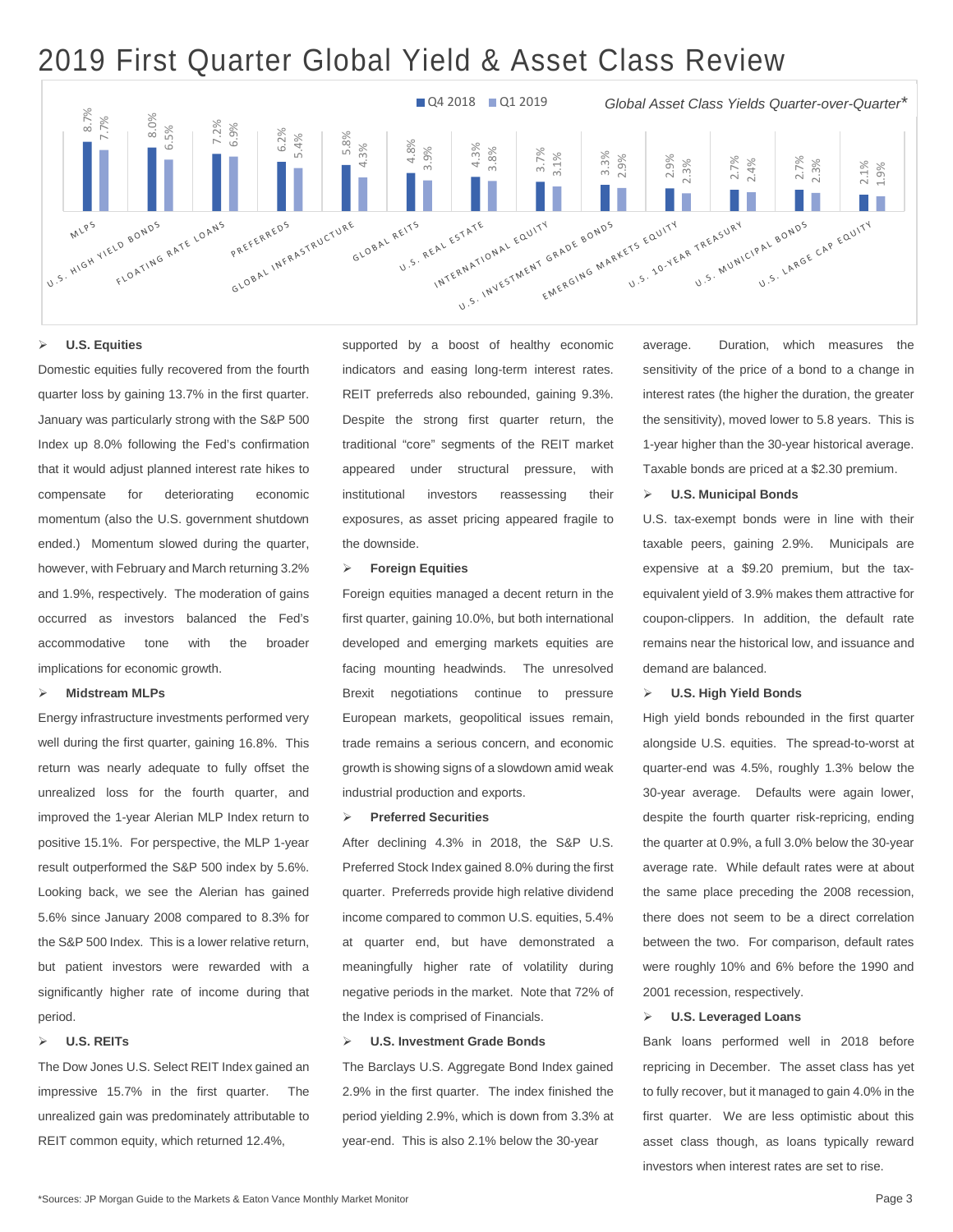## 2019 First Quarter Global Yield & Asset Class Review



#### **U.S. Equities**

Domestic equities fully recovered from the fourth quarter loss by gaining 13.7% in the first quarter. January was particularly strong with the S&P 500 Index up 8.0% following the Fed's confirmation that it would adjust planned interest rate hikes to compensate for deteriorating economic momentum (also the U.S. government shutdown ended.) Momentum slowed during the quarter, however, with February and March returning 3.2% and 1.9%, respectively. The moderation of gains occurred as investors balanced the Fed's accommodative tone with the broader implications for economic growth.

#### **Midstream MLPs**

Energy infrastructure investments performed very well during the first quarter, gaining 16.8%. This return was nearly adequate to fully offset the unrealized loss for the fourth quarter, and improved the 1-year Alerian MLP Index return to positive 15.1%. For perspective, the MLP 1-year result outperformed the S&P 500 index by 5.6%. Looking back, we see the Alerian has gained 5.6% since January 2008 compared to 8.3% for the S&P 500 Index. This is a lower relative return, but patient investors were rewarded with a significantly higher rate of income during that period.

#### **U.S. REITs**

The Dow Jones U.S. Select REIT Index gained an impressive 15.7% in the first quarter. The unrealized gain was predominately attributable to REIT common equity, which returned 12.4%,

supported by a boost of healthy economic indicators and easing long-term interest rates. REIT preferreds also rebounded, gaining 9.3%. Despite the strong first quarter return, the traditional "core" segments of the REIT market appeared under structural pressure, with institutional investors reassessing their exposures, as asset pricing appeared fragile to the downside.

#### **Foreign Equities**

Foreign equities managed a decent return in the first quarter, gaining 10.0%, but both international developed and emerging markets equities are facing mounting headwinds. The unresolved Brexit negotiations continue to pressure European markets, geopolitical issues remain, trade remains a serious concern, and economic growth is showing signs of a slowdown amid weak industrial production and exports.

#### **Preferred Securities**

After declining 4.3% in 2018, the S&P U.S. Preferred Stock Index gained 8.0% during the first quarter. Preferreds provide high relative dividend income compared to common U.S. equities, 5.4% at quarter end, but have demonstrated a meaningfully higher rate of volatility during negative periods in the market. Note that 72% of the Index is comprised of Financials.

#### **U.S. Investment Grade Bonds**

The Barclays U.S. Aggregate Bond Index gained 2.9% in the first quarter. The index finished the period yielding 2.9%, which is down from 3.3% at year-end. This is also 2.1% below the 30-year

average. Duration, which measures the sensitivity of the price of a bond to a change in interest rates (the higher the duration, the greater the sensitivity), moved lower to 5.8 years. This is 1-year higher than the 30-year historical average. Taxable bonds are priced at a \$2.30 premium.

#### **U.S. Municipal Bonds**

U.S. tax-exempt bonds were in line with their taxable peers, gaining 2.9%. Municipals are expensive at a \$9.20 premium, but the taxequivalent yield of 3.9% makes them attractive for coupon-clippers. In addition, the default rate remains near the historical low, and issuance and demand are balanced.

#### **U.S. High Yield Bonds**

High yield bonds rebounded in the first quarter alongside U.S. equities. The spread-to-worst at quarter-end was 4.5%, roughly 1.3% below the 30-year average. Defaults were again lower, despite the fourth quarter risk-repricing, ending the quarter at 0.9%, a full 3.0% below the 30-year average rate. While default rates were at about the same place preceding the 2008 recession, there does not seem to be a direct correlation between the two. For comparison, default rates were roughly 10% and 6% before the 1990 and 2001 recession, respectively.

#### **U.S. Leveraged Loans**

Bank loans performed well in 2018 before repricing in December. The asset class has yet to fully recover, but it managed to gain 4.0% in the first quarter. We are less optimistic about this asset class though, as loans typically reward investors when interest rates are set to rise.